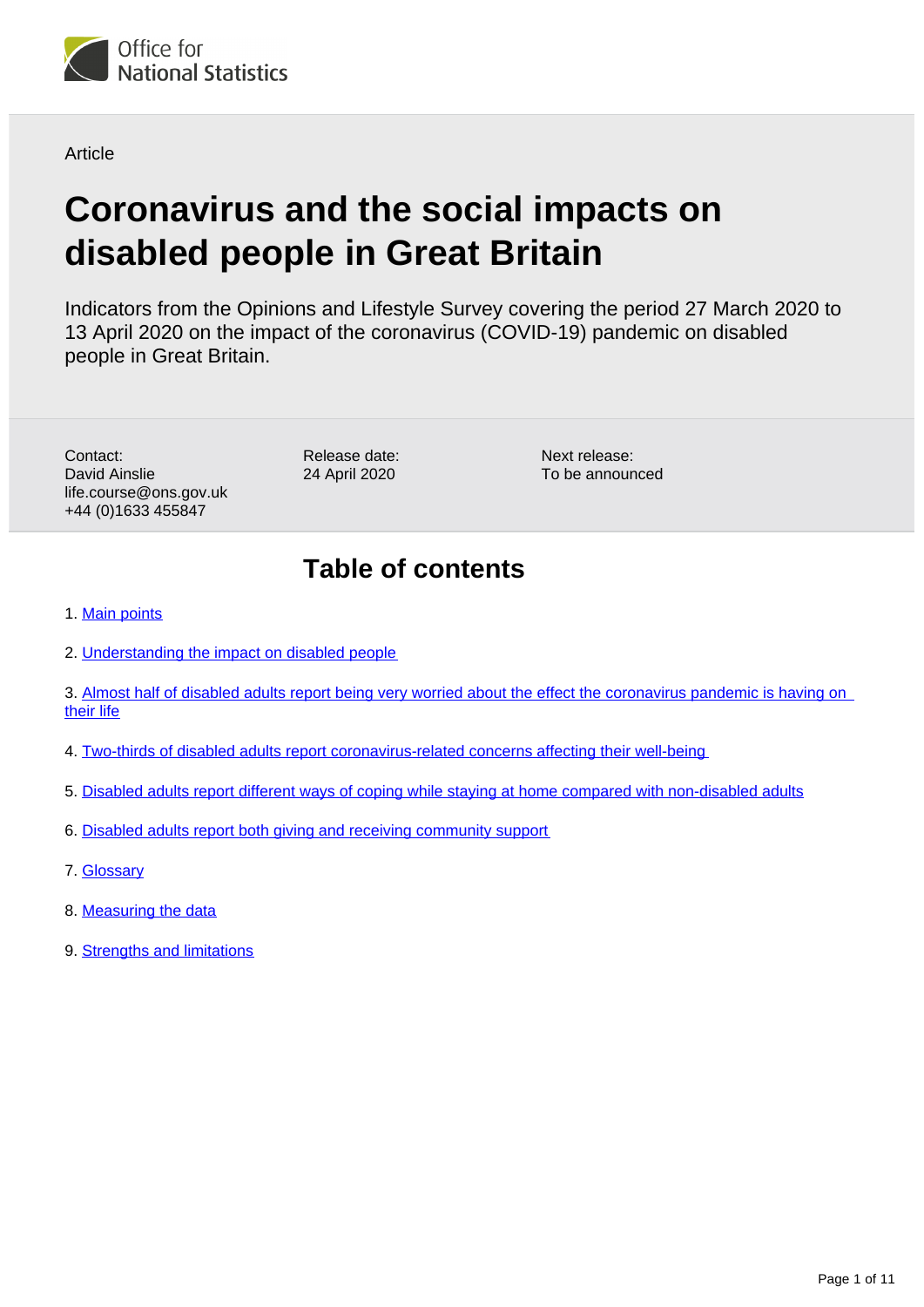

Article

# **Coronavirus and the social impacts on disabled people in Great Britain**

Indicators from the Opinions and Lifestyle Survey covering the period 27 March 2020 to 13 April 2020 on the impact of the coronavirus (COVID-19) pandemic on disabled people in Great Britain.

Contact: David Ainslie life.course@ons.gov.uk +44 (0)1633 455847

Release date: 24 April 2020

Next release: To be announced

## **Table of contents**

- 1. [Main points](#page-1-0)
- 2. [Understanding the impact on disabled people](#page-1-1)
- 3. [Almost half of disabled adults report being very worried about the effect the coronavirus pandemic is having on](#page-2-0)  [their life](#page-2-0)
- 4. [Two-thirds of disabled adults report coronavirus-related concerns affecting their well-being](#page-4-0)
- 5. [Disabled adults report different ways of coping while staying at home compared with non-disabled adults](#page-7-0)
- 6. [Disabled adults report both giving and receiving community support](#page-9-0)
- 7. [Glossary](#page-9-1)
- 8. [Measuring the data](#page-9-2)
- 9. [Strengths and limitations](#page-10-0)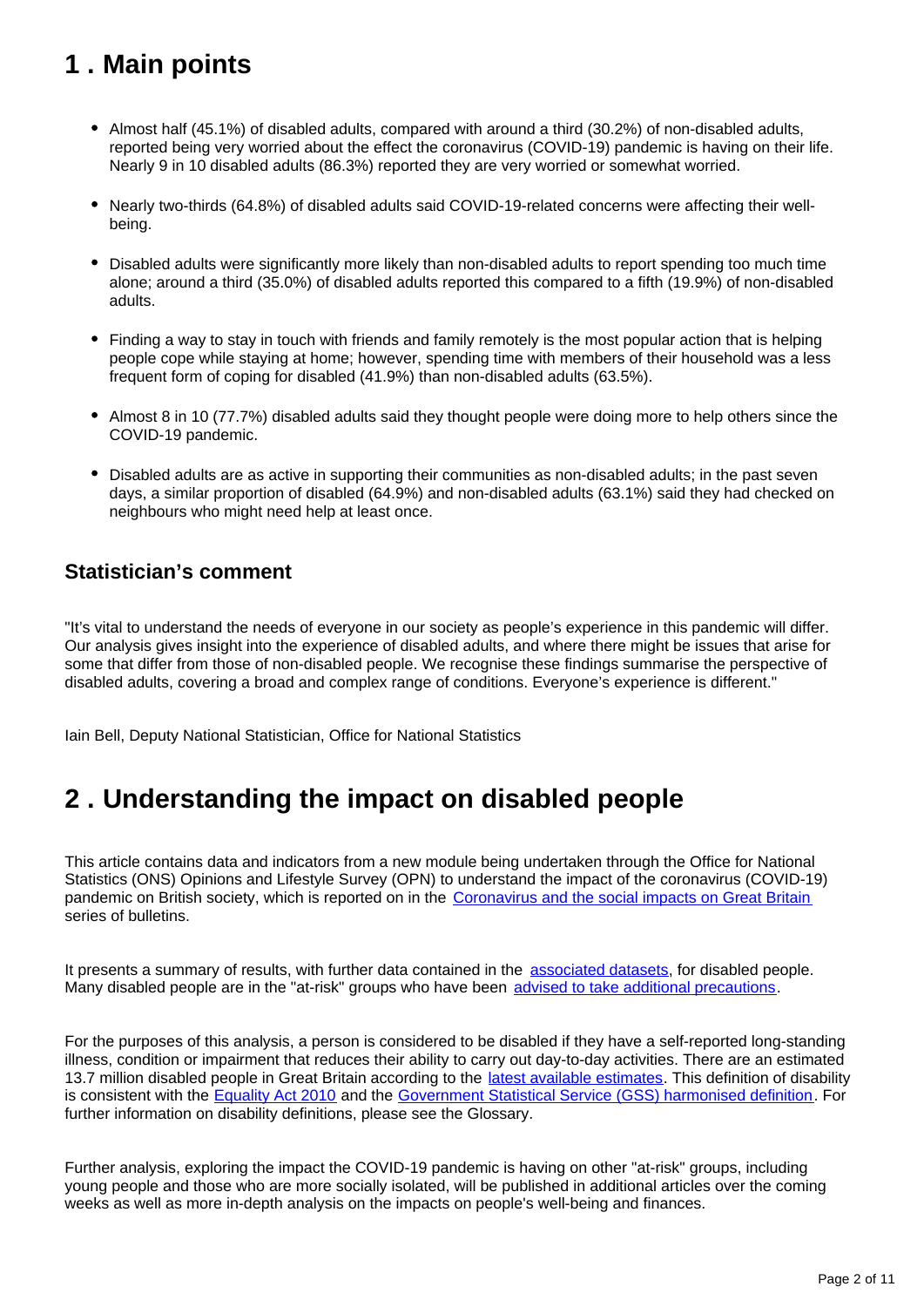## <span id="page-1-0"></span>**1 . Main points**

- Almost half (45.1%) of disabled adults, compared with around a third (30.2%) of non-disabled adults, reported being very worried about the effect the coronavirus (COVID-19) pandemic is having on their life. Nearly 9 in 10 disabled adults (86.3%) reported they are very worried or somewhat worried.
- Nearly two-thirds (64.8%) of disabled adults said COVID-19-related concerns were affecting their wellbeing.
- Disabled adults were significantly more likely than non-disabled adults to report spending too much time alone; around a third (35.0%) of disabled adults reported this compared to a fifth (19.9%) of non-disabled adults.
- Finding a way to stay in touch with friends and family remotely is the most popular action that is helping people cope while staying at home; however, spending time with members of their household was a less frequent form of coping for disabled (41.9%) than non-disabled adults (63.5%).
- Almost 8 in 10 (77.7%) disabled adults said they thought people were doing more to help others since the COVID-19 pandemic.
- Disabled adults are as active in supporting their communities as non-disabled adults; in the past seven days, a similar proportion of disabled (64.9%) and non-disabled adults (63.1%) said they had checked on neighbours who might need help at least once.

### **Statistician's comment**

"It's vital to understand the needs of everyone in our society as people's experience in this pandemic will differ. Our analysis gives insight into the experience of disabled adults, and where there might be issues that arise for some that differ from those of non-disabled people. We recognise these findings summarise the perspective of disabled adults, covering a broad and complex range of conditions. Everyone's experience is different."

Iain Bell, Deputy National Statistician, Office for National Statistics

## <span id="page-1-1"></span>**2 . Understanding the impact on disabled people**

This article contains data and indicators from a new module being undertaken through the Office for National Statistics (ONS) Opinions and Lifestyle Survey (OPN) to understand the impact of the coronavirus (COVID-19) pandemic on British society, which is reported on in the [Coronavirus and the social impacts on Great Britain](https://www.ons.gov.uk/peoplepopulationandcommunity/healthandsocialcare/healthandwellbeing/bulletins/coronavirusandthesocialimpactsongreatbritain/previousReleases) series of bulletins.

It presents a summary of results, with further data contained in the [associated datasets](https://www.ons.gov.uk/peoplepopulationandcommunity/healthandsocialcare/disability/articles/coronavirusandthesocialimpactsondisabledpeopleingreatbritain/2020-04-24/relateddata), for disabled people. Many disabled people are in the "at-risk" groups who have been [advised to take additional precautions.](https://www.gov.uk/government/publications/covid-19-guidance-on-social-distancing-and-for-vulnerable-people/guidance-on-social-distancing-for-everyone-in-the-uk-and-protecting-older-people-and-vulnerable-adults)

For the purposes of this analysis, a person is considered to be disabled if they have a self-reported long-standing illness, condition or impairment that reduces their ability to carry out day-to-day activities. There are an estimated 13.7 million disabled people in Great Britain according to the [latest available estimates.](https://www.gov.uk/government/statistics/family-resources-survey-financial-year-201819) This definition of disability is consistent with the **Equality Act 2010** and the [Government Statistical Service \(GSS\) harmonised definition.](https://gss.civilservice.gov.uk/policy-store/measuring-disability-for-the-equality-act-2010/) For further information on disability definitions, please see the Glossary.

Further analysis, exploring the impact the COVID-19 pandemic is having on other "at-risk" groups, including young people and those who are more socially isolated, will be published in additional articles over the coming weeks as well as more in-depth analysis on the impacts on people's well-being and finances.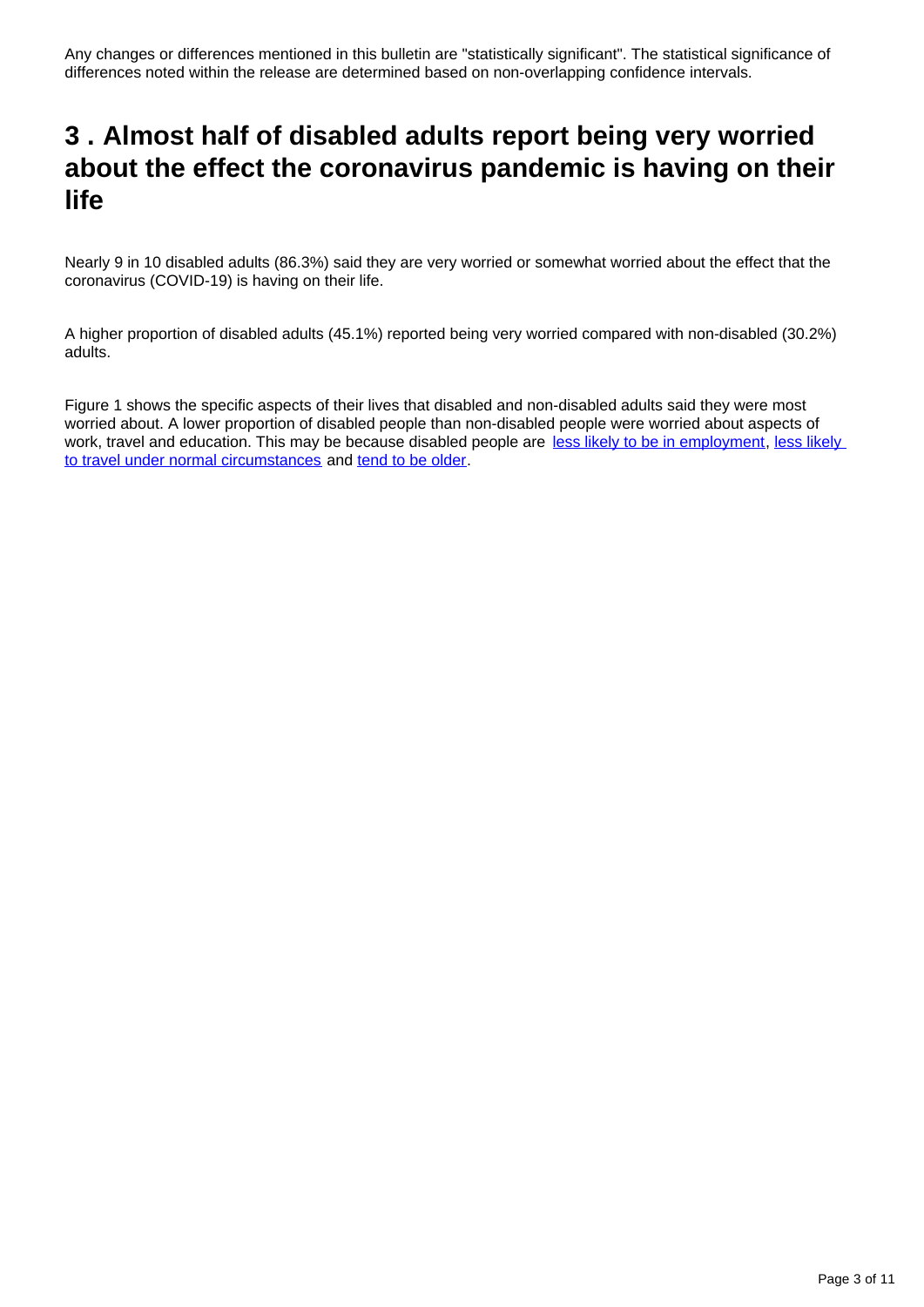## <span id="page-2-0"></span>**3 . Almost half of disabled adults report being very worried about the effect the coronavirus pandemic is having on their life**

Nearly 9 in 10 disabled adults (86.3%) said they are very worried or somewhat worried about the effect that the coronavirus (COVID-19) is having on their life.

A higher proportion of disabled adults (45.1%) reported being very worried compared with non-disabled (30.2%) adults.

Figure 1 shows the specific aspects of their lives that disabled and non-disabled adults said they were most worried about. A lower proportion of disabled people than non-disabled people were worried about aspects of work, travel and education. This may be because disabled people are [less likely to be in employment](https://www.gov.uk/government/statistics/the-employment-of-disabled-people-2019), less likely [to travel under normal circumstances](https://www.gov.uk/government/statistics/national-travel-survey-2018) and [tend to be older.](https://www.gov.uk/government/collections/family-resources-survey--2)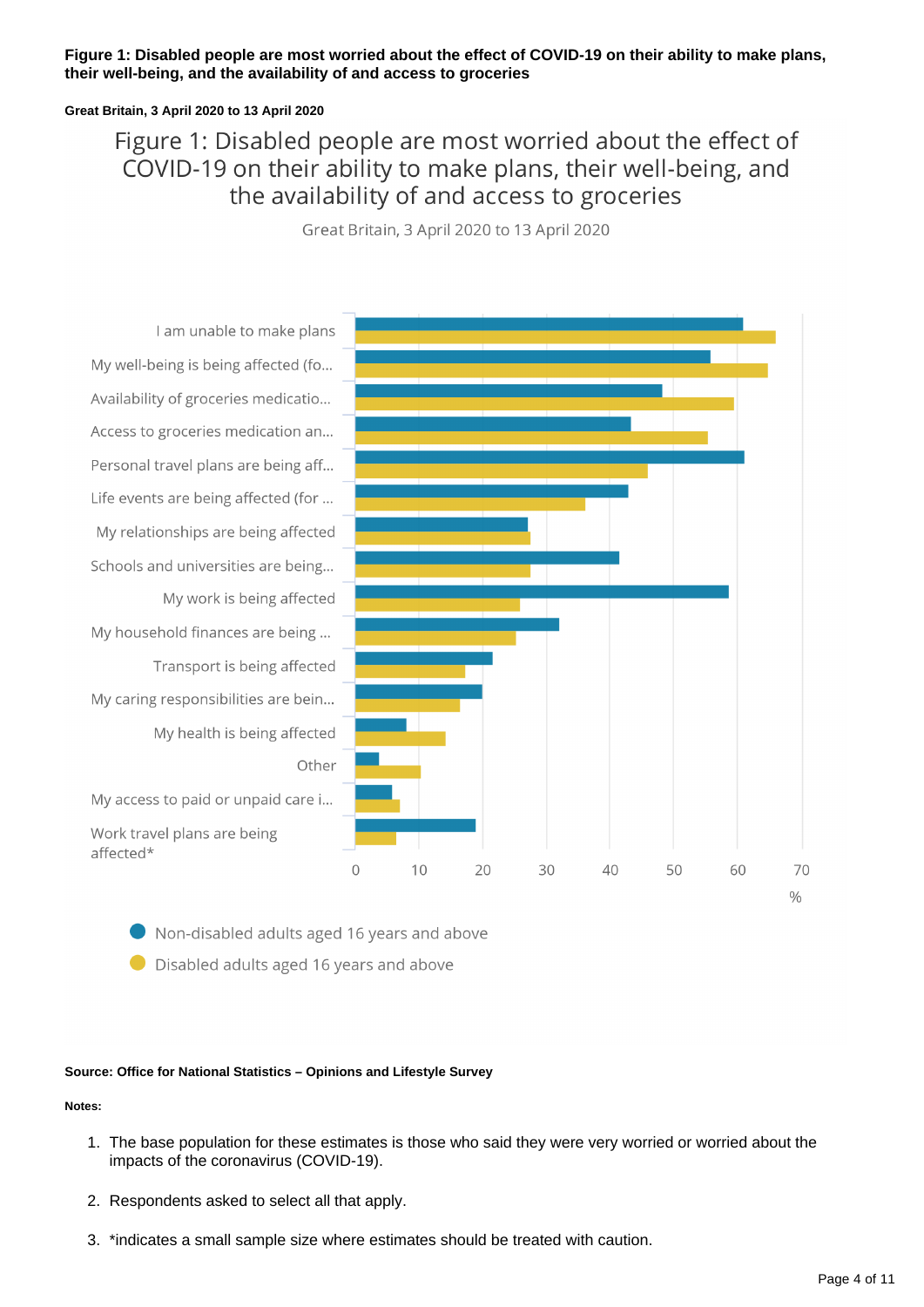### **Figure 1: Disabled people are most worried about the effect of COVID-19 on their ability to make plans, their well-being, and the availability of and access to groceries**

### **Great Britain, 3 April 2020 to 13 April 2020**

### Figure 1: Disabled people are most worried about the effect of COVID-19 on their ability to make plans, their well-being, and the availability of and access to groceries

Great Britain, 3 April 2020 to 13 April 2020



Non-disabled adults aged 16 years and above

● Disabled adults aged 16 years and above

### **Source: Office for National Statistics – Opinions and Lifestyle Survey**

### **Notes:**

- 1. The base population for these estimates is those who said they were very worried or worried about the impacts of the coronavirus (COVID-19).
- 2. Respondents asked to select all that apply.
- 3. \*indicates a small sample size where estimates should be treated with caution.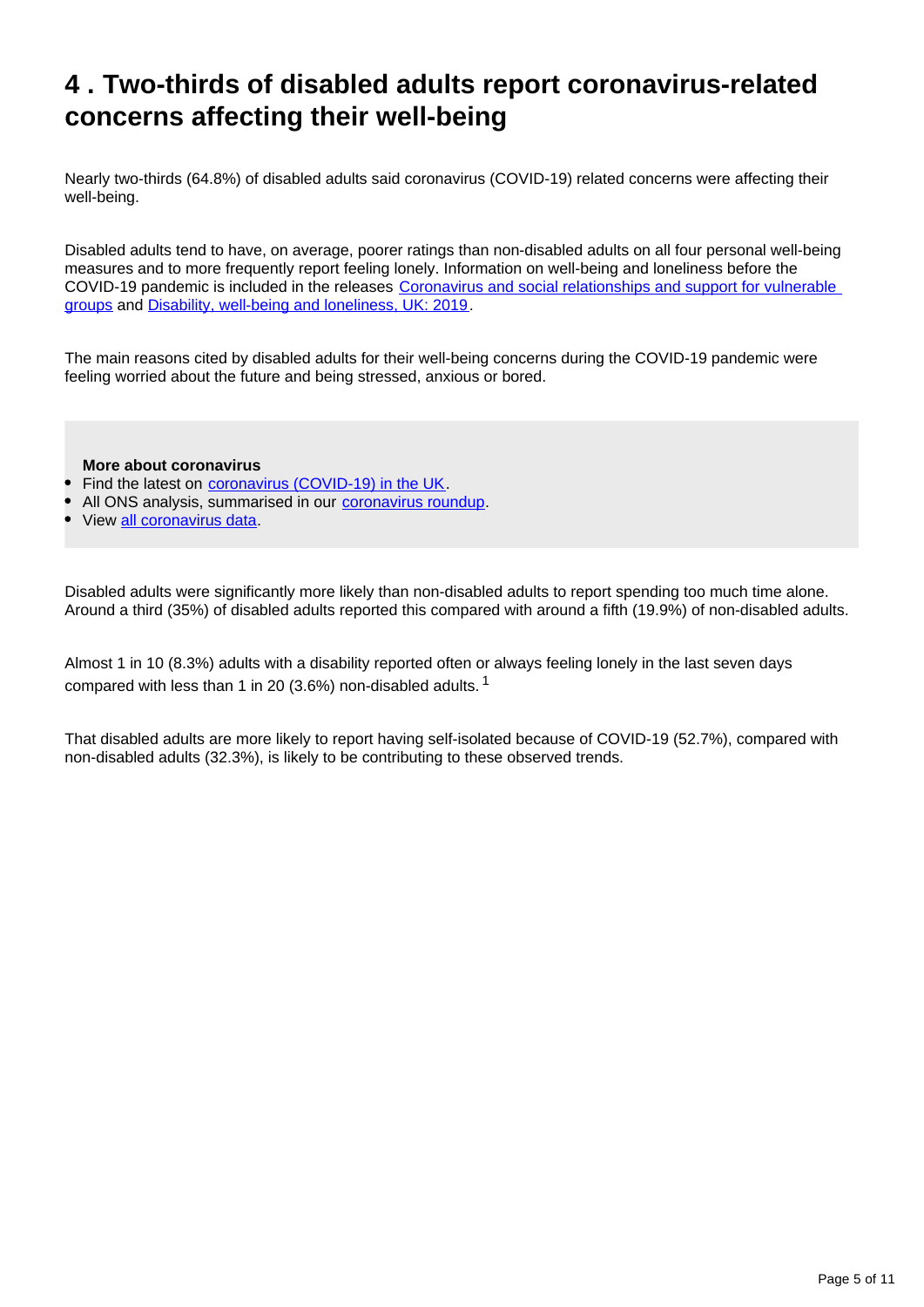## <span id="page-4-0"></span>**4 . Two-thirds of disabled adults report coronavirus-related concerns affecting their well-being**

Nearly two-thirds (64.8%) of disabled adults said coronavirus (COVID-19) related concerns were affecting their well-being.

Disabled adults tend to have, on average, poorer ratings than non-disabled adults on all four personal well-being measures and to more frequently report feeling lonely. Information on well-being and loneliness before the COVID-19 pandemic is included in the releases [Coronavirus and social relationships and support for vulnerable](https://www.ons.gov.uk/releases/coronavirusandsocialrelationshipsandsupportforvulnerablegroups)  [groups](https://www.ons.gov.uk/releases/coronavirusandsocialrelationshipsandsupportforvulnerablegroups) and [Disability, well-being and loneliness, UK: 2019](https://www.ons.gov.uk/peoplepopulationandcommunity/healthandsocialcare/disability/bulletins/disabilitywellbeingandlonelinessuk/2019).

The main reasons cited by disabled adults for their well-being concerns during the COVID-19 pandemic were feeling worried about the future and being stressed, anxious or bored.

**More about coronavirus**

- Find the latest on [coronavirus \(COVID-19\) in the UK](https://www.ons.gov.uk/peoplepopulationandcommunity/healthandsocialcare/conditionsanddiseases).
- All ONS analysis, summarised in our [coronavirus roundup.](https://www.ons.gov.uk/peoplepopulationandcommunity/healthandsocialcare/conditionsanddiseases/articles/coronaviruscovid19roundup/2020-03-26)
- View [all coronavirus data.](https://www.ons.gov.uk/peoplepopulationandcommunity/healthandsocialcare/conditionsanddiseases/datalist)

Disabled adults were significantly more likely than non-disabled adults to report spending too much time alone. Around a third (35%) of disabled adults reported this compared with around a fifth (19.9%) of non-disabled adults.

Almost 1 in 10 (8.3%) adults with a disability reported often or always feeling lonely in the last seven days compared with less than 1 in 20 (3.6%) non-disabled adults.  $1$ 

That disabled adults are more likely to report having self-isolated because of COVID-19 (52.7%), compared with non-disabled adults (32.3%), is likely to be contributing to these observed trends.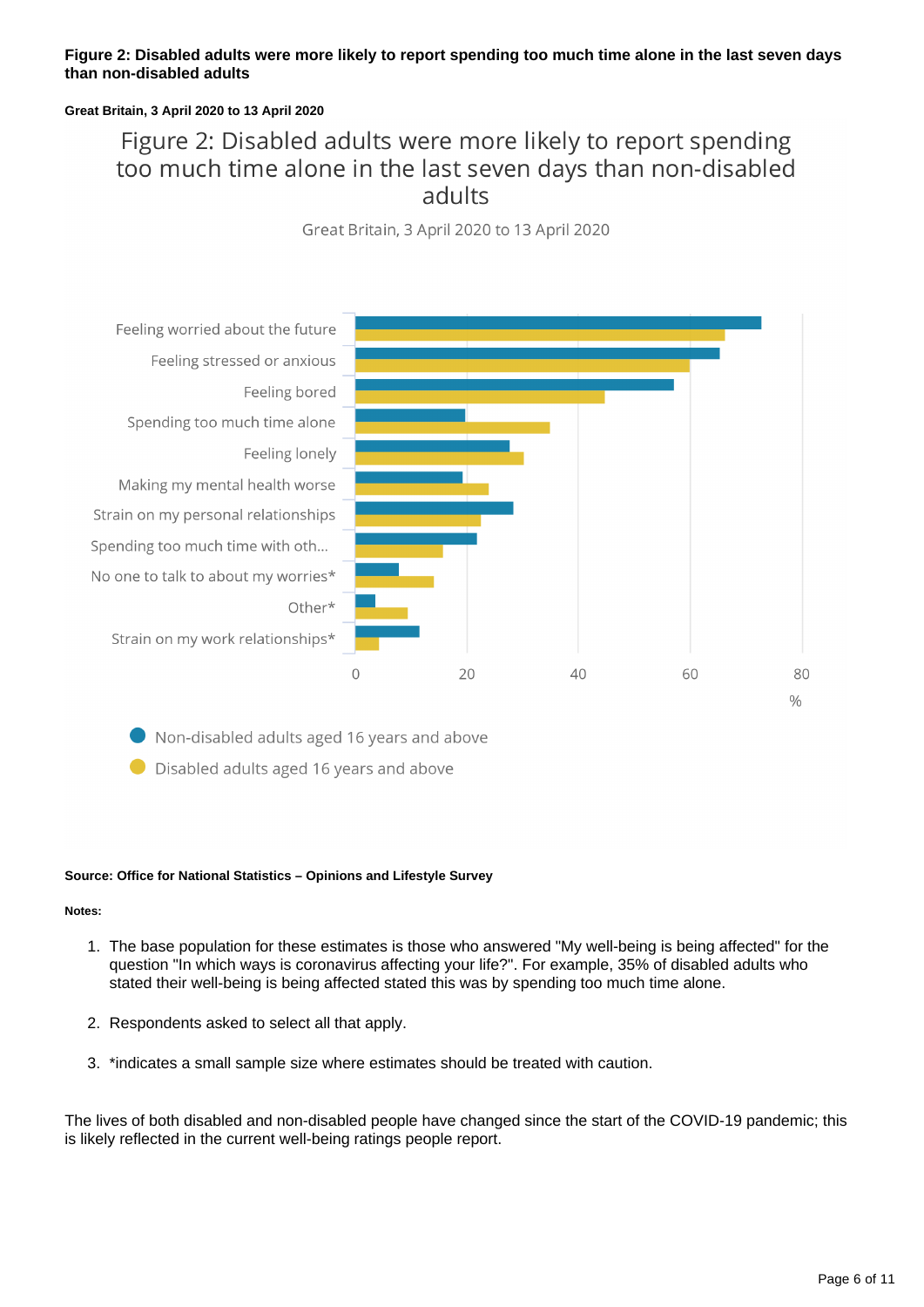### **Figure 2: Disabled adults were more likely to report spending too much time alone in the last seven days than non-disabled adults**

### **Great Britain, 3 April 2020 to 13 April 2020**

### Figure 2: Disabled adults were more likely to report spending too much time alone in the last seven days than non-disabled adults

Great Britain, 3 April 2020 to 13 April 2020



● Non-disabled adults aged 16 years and above

● Disabled adults aged 16 years and above

### **Source: Office for National Statistics – Opinions and Lifestyle Survey**

### **Notes:**

- 1. The base population for these estimates is those who answered "My well-being is being affected" for the question "In which ways is coronavirus affecting your life?". For example, 35% of disabled adults who stated their well-being is being affected stated this was by spending too much time alone.
- 2. Respondents asked to select all that apply.
- 3. \*indicates a small sample size where estimates should be treated with caution.

The lives of both disabled and non-disabled people have changed since the start of the COVID-19 pandemic; this is likely reflected in the current well-being ratings people report.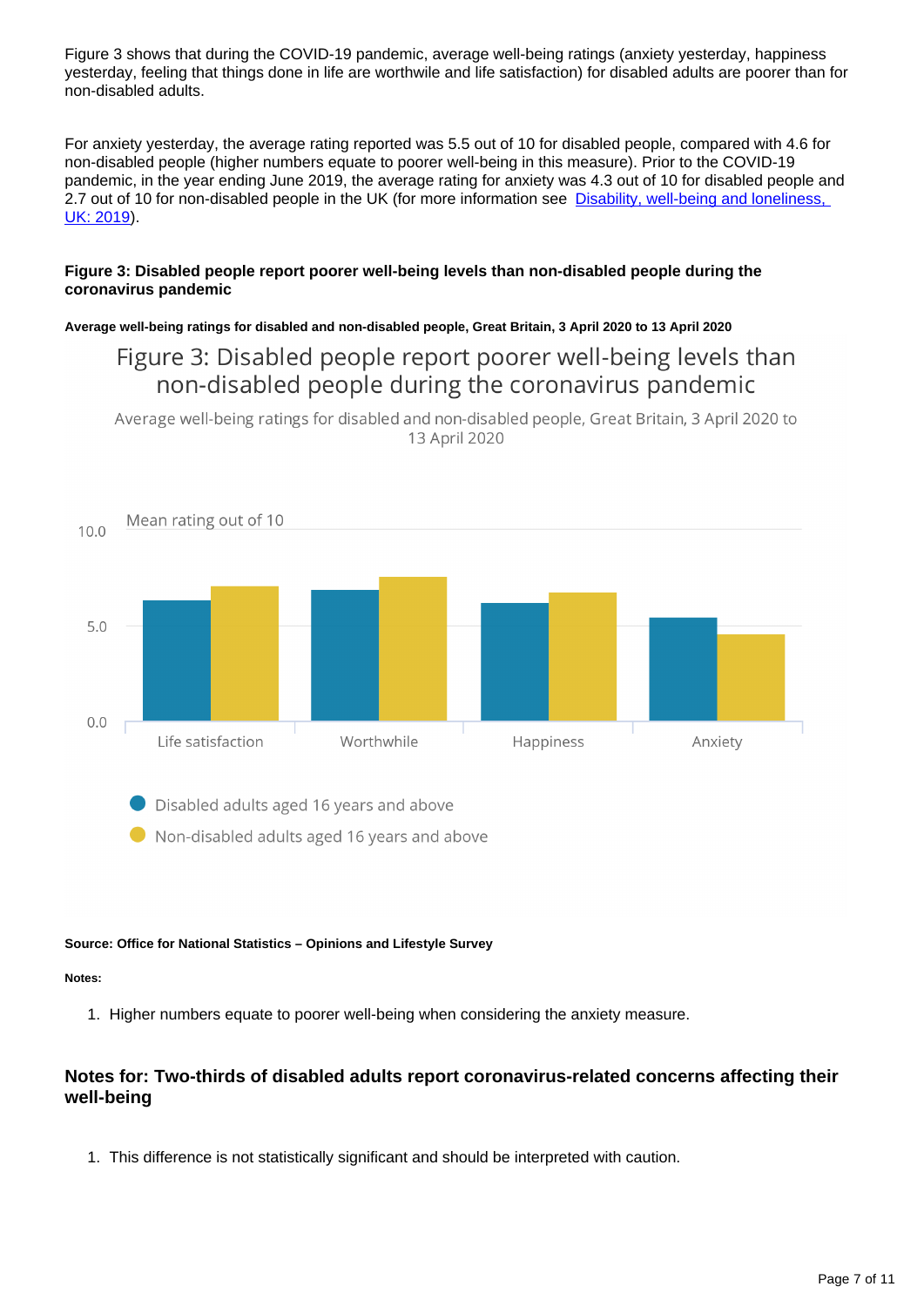Figure 3 shows that during the COVID-19 pandemic, average well-being ratings (anxiety yesterday, happiness yesterday, feeling that things done in life are worthwile and life satisfaction) for disabled adults are poorer than for non-disabled adults.

For anxiety yesterday, the average rating reported was 5.5 out of 10 for disabled people, compared with 4.6 for non-disabled people (higher numbers equate to poorer well-being in this measure). Prior to the COVID-19 pandemic, in the year ending June 2019, the average rating for anxiety was 4.3 out of 10 for disabled people and 2.7 out of 10 for non-disabled people in the UK (for more information see Disability, well-being and loneliness, [UK: 2019](https://www.ons.gov.uk/peoplepopulationandcommunity/healthandsocialcare/disability/bulletins/disabilitywellbeingandlonelinessuk/2019#well-being-by-disability-uk)).

### **Figure 3: Disabled people report poorer well-being levels than non-disabled people during the coronavirus pandemic**

### **Average well-being ratings for disabled and non-disabled people, Great Britain, 3 April 2020 to 13 April 2020**

### Figure 3: Disabled people report poorer well-being levels than non-disabled people during the coronavirus pandemic

Average well-being ratings for disabled and non-disabled people, Great Britain, 3 April 2020 to 13 April 2020



Disabled adults aged 16 years and above

Non-disabled adults aged 16 years and above

### **Source: Office for National Statistics – Opinions and Lifestyle Survey**

### **Notes:**

1. Higher numbers equate to poorer well-being when considering the anxiety measure.

### **Notes for: Two-thirds of disabled adults report coronavirus-related concerns affecting their well-being**

1. This difference is not statistically significant and should be interpreted with caution.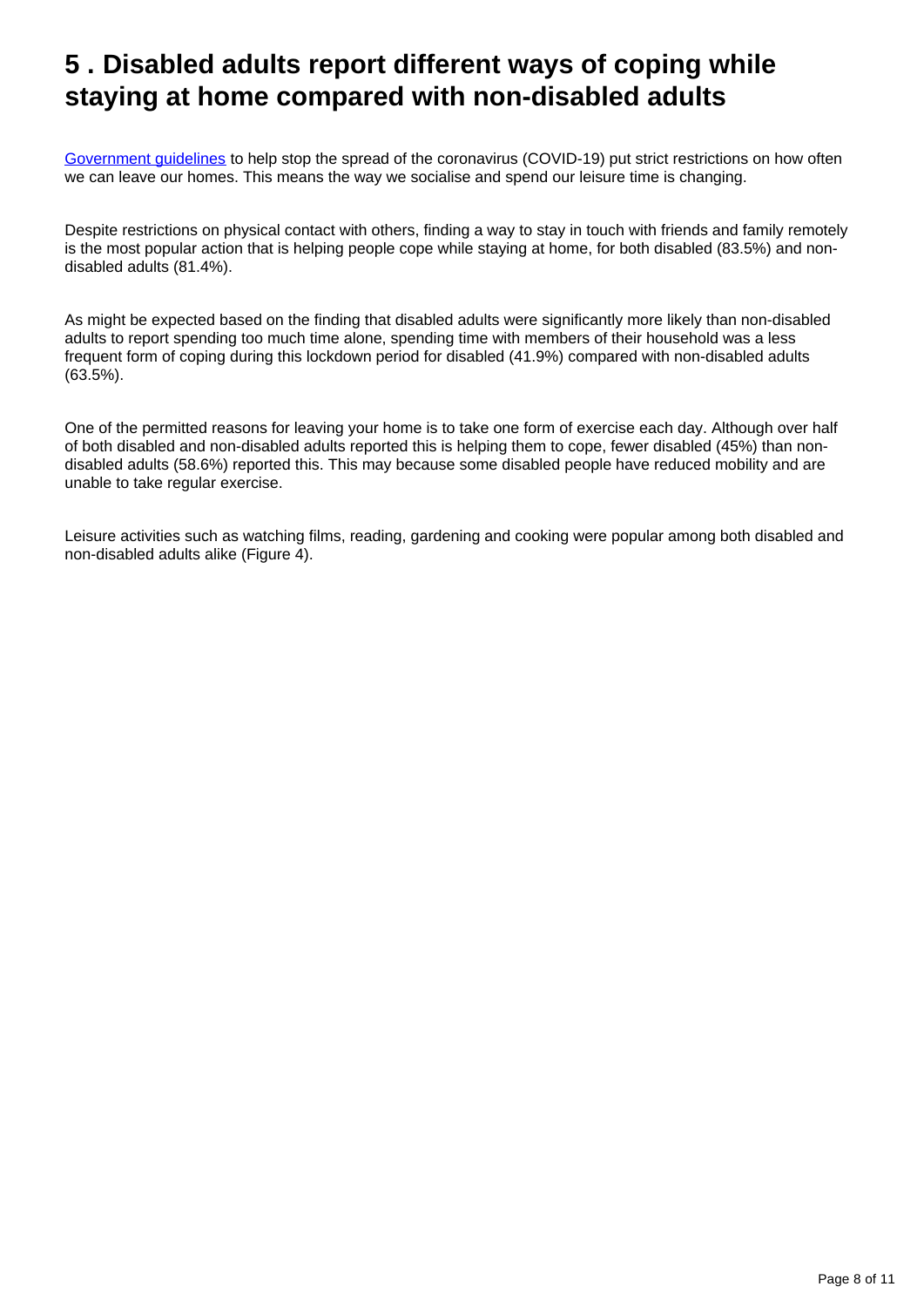## <span id="page-7-0"></span>**5 . Disabled adults report different ways of coping while staying at home compared with non-disabled adults**

[Government guidelines](https://www.gov.uk/government/publications/covid-19-guidance-on-social-distancing-and-for-vulnerable-people/guidance-on-social-distancing-for-everyone-in-the-uk-and-protecting-older-people-and-vulnerable-adults) to help stop the spread of the coronavirus (COVID-19) put strict restrictions on how often we can leave our homes. This means the way we socialise and spend our leisure time is changing.

Despite restrictions on physical contact with others, finding a way to stay in touch with friends and family remotely is the most popular action that is helping people cope while staying at home, for both disabled (83.5%) and nondisabled adults (81.4%).

As might be expected based on the finding that disabled adults were significantly more likely than non-disabled adults to report spending too much time alone, spending time with members of their household was a less frequent form of coping during this lockdown period for disabled (41.9%) compared with non-disabled adults (63.5%).

One of the permitted reasons for leaving your home is to take one form of exercise each day. Although over half of both disabled and non-disabled adults reported this is helping them to cope, fewer disabled (45%) than nondisabled adults (58.6%) reported this. This may because some disabled people have reduced mobility and are unable to take regular exercise.

Leisure activities such as watching films, reading, gardening and cooking were popular among both disabled and non-disabled adults alike (Figure 4).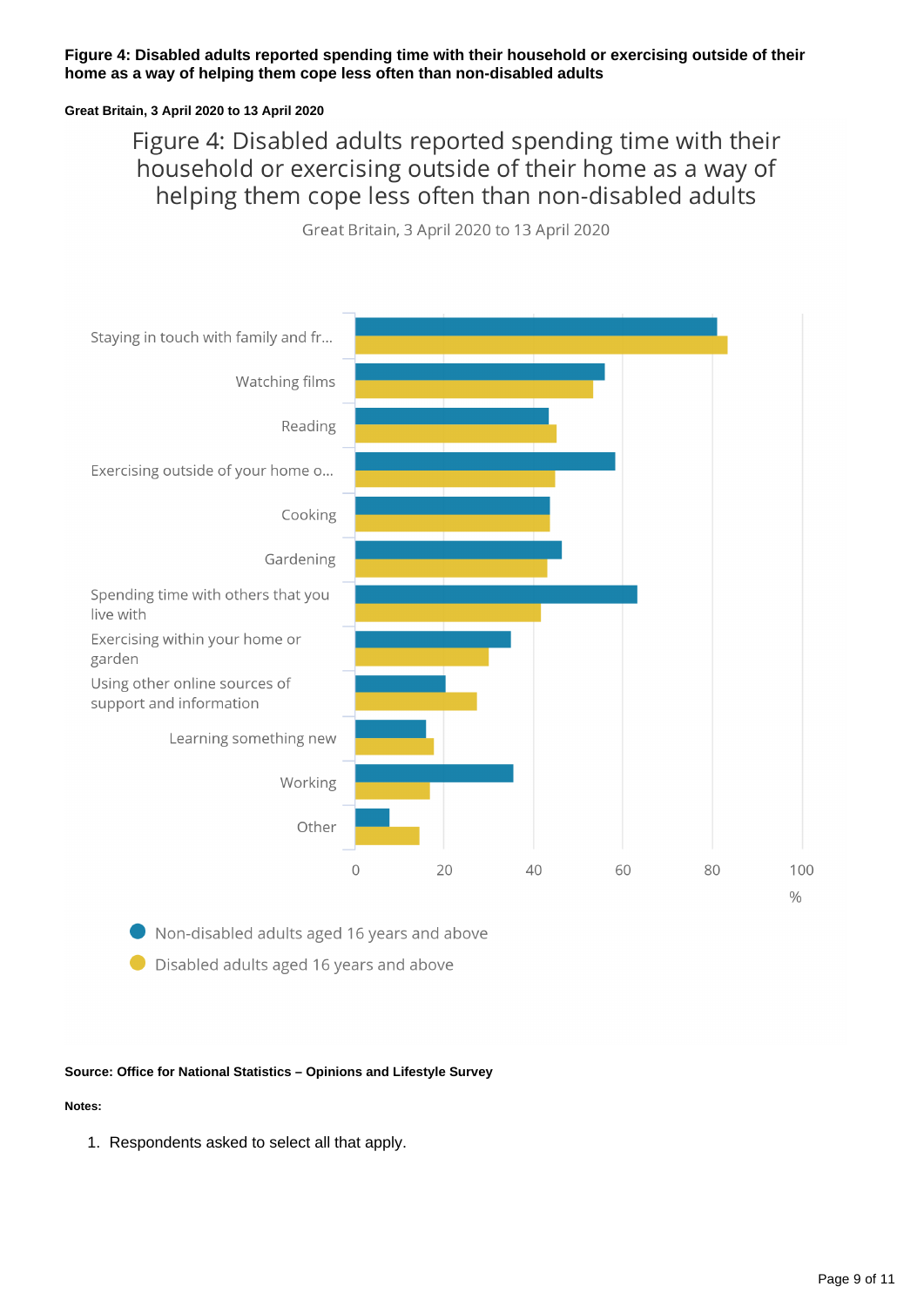### **Figure 4: Disabled adults reported spending time with their household or exercising outside of their home as a way of helping them cope less often than non-disabled adults**

### **Great Britain, 3 April 2020 to 13 April 2020**

Figure 4: Disabled adults reported spending time with their household or exercising outside of their home as a way of helping them cope less often than non-disabled adults

Great Britain, 3 April 2020 to 13 April 2020



Non-disabled adults aged 16 years and above

● Disabled adults aged 16 years and above

### **Source: Office for National Statistics – Opinions and Lifestyle Survey**

### **Notes:**

1. Respondents asked to select all that apply.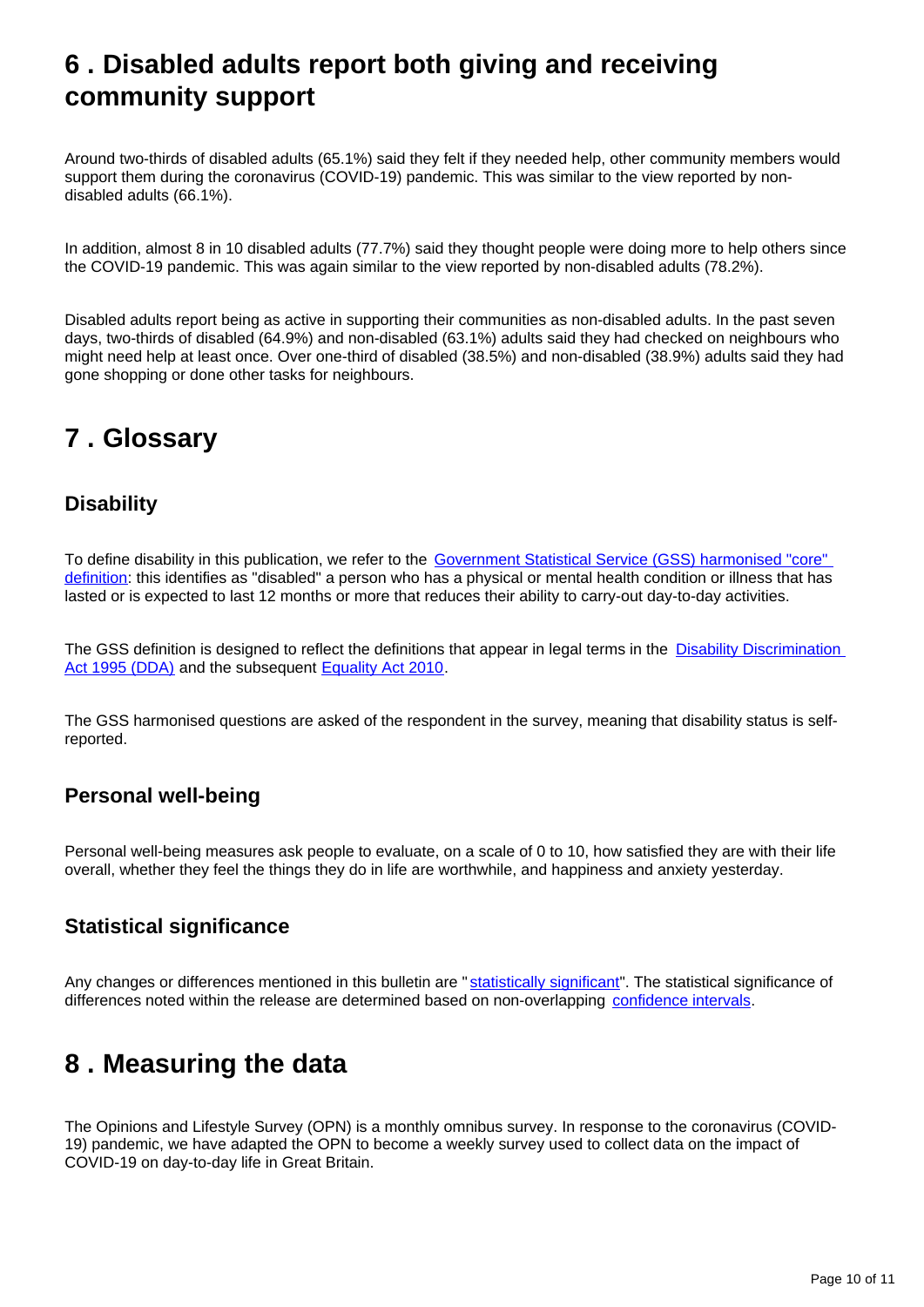## <span id="page-9-0"></span>**6 . Disabled adults report both giving and receiving community support**

Around two-thirds of disabled adults (65.1%) said they felt if they needed help, other community members would support them during the coronavirus (COVID-19) pandemic. This was similar to the view reported by nondisabled adults (66.1%).

In addition, almost 8 in 10 disabled adults (77.7%) said they thought people were doing more to help others since the COVID-19 pandemic. This was again similar to the view reported by non-disabled adults (78.2%).

Disabled adults report being as active in supporting their communities as non-disabled adults. In the past seven days, two-thirds of disabled (64.9%) and non-disabled (63.1%) adults said they had checked on neighbours who might need help at least once. Over one-third of disabled (38.5%) and non-disabled (38.9%) adults said they had gone shopping or done other tasks for neighbours.

## <span id="page-9-1"></span>**7 . Glossary**

### **Disability**

To define disability in this publication, we refer to the Government Statistical Service (GSS) harmonised "core" [definition](https://gss.civilservice.gov.uk/policy-store/measuring-disability-for-the-equality-act-2010/): this identifies as "disabled" a person who has a physical or mental health condition or illness that has lasted or is expected to last 12 months or more that reduces their ability to carry-out day-to-day activities.

The GSS definition is designed to reflect the definitions that appear in legal terms in the Disability Discrimination [Act 1995 \(DDA\)](http://www.legislation.gov.uk/ukpga/1995/50/contents) and the subsequent [Equality Act 2010](http://www.legislation.gov.uk/ukpga/2010/15/section/6).

The GSS harmonised questions are asked of the respondent in the survey, meaning that disability status is selfreported.

### **Personal well-being**

Personal well-being measures ask people to evaluate, on a scale of 0 to 10, how satisfied they are with their life overall, whether they feel the things they do in life are worthwhile, and happiness and anxiety yesterday.

### **Statistical significance**

Any changes or differences mentioned in this bulletin are "[statistically significant](https://www.ons.gov.uk/methodology/methodologytopicsandstatisticalconcepts/uncertaintyandhowwemeasureit#statistical-significance)". The statistical significance of differences noted within the release are determined based on non-overlapping [confidence intervals](https://www.ons.gov.uk/methodology/methodologytopicsandstatisticalconcepts/uncertaintyandhowwemeasureit#confidence-interval).

## <span id="page-9-2"></span>**8 . Measuring the data**

The Opinions and Lifestyle Survey (OPN) is a monthly omnibus survey. In response to the coronavirus (COVID-19) pandemic, we have adapted the OPN to become a weekly survey used to collect data on the impact of COVID-19 on day-to-day life in Great Britain.